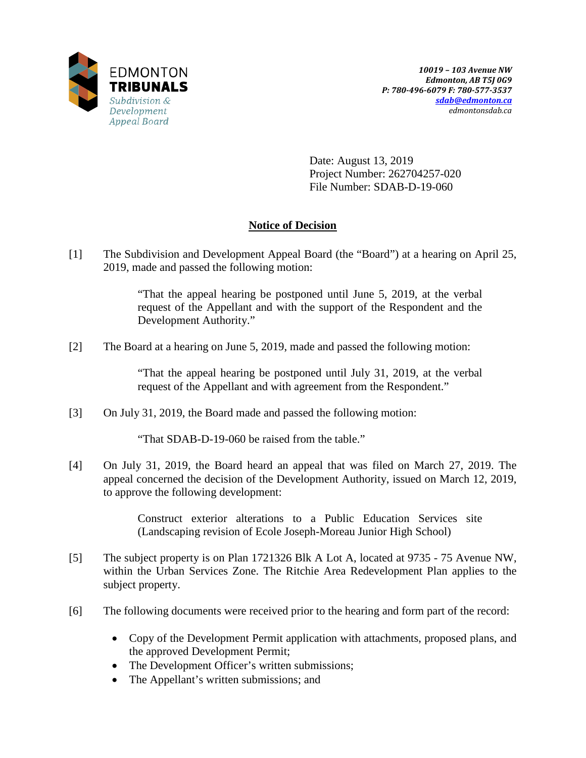

Date: August 13, 2019 Project Number: 262704257-020 File Number: SDAB-D-19-060

# **Notice of Decision**

[1] The Subdivision and Development Appeal Board (the "Board") at a hearing on April 25, 2019, made and passed the following motion:

> "That the appeal hearing be postponed until June 5, 2019, at the verbal request of the Appellant and with the support of the Respondent and the Development Authority."

[2] The Board at a hearing on June 5, 2019, made and passed the following motion:

"That the appeal hearing be postponed until July 31, 2019, at the verbal request of the Appellant and with agreement from the Respondent."

[3] On July 31, 2019, the Board made and passed the following motion:

"That SDAB-D-19-060 be raised from the table."

[4] On July 31, 2019, the Board heard an appeal that was filed on March 27, 2019. The appeal concerned the decision of the Development Authority, issued on March 12, 2019, to approve the following development:

> Construct exterior alterations to a Public Education Services site (Landscaping revision of Ecole Joseph-Moreau Junior High School)

- [5] The subject property is on Plan 1721326 Blk A Lot A, located at 9735 75 Avenue NW, within the Urban Services Zone. The Ritchie Area Redevelopment Plan applies to the subject property.
- [6] The following documents were received prior to the hearing and form part of the record:
	- Copy of the Development Permit application with attachments, proposed plans, and the approved Development Permit;
	- The Development Officer's written submissions;
	- The Appellant's written submissions; and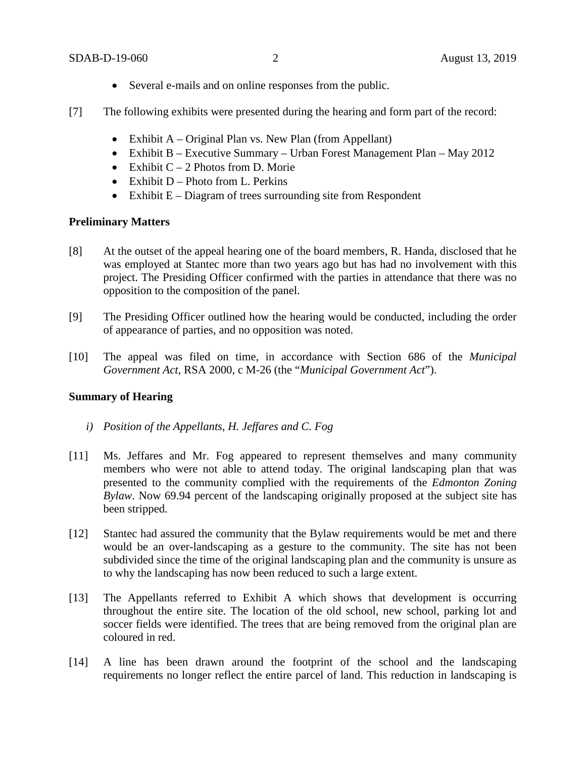- Several e-mails and on online responses from the public.
- [7] The following exhibits were presented during the hearing and form part of the record:
	- Exhibit A Original Plan vs. New Plan (from Appellant)
	- Exhibit B Executive Summary Urban Forest Management Plan May 2012
	- Exhibit  $C 2$  Photos from D. Morie
	- Exhibit  $D -$ Photo from L. Perkins
	- Exhibit E Diagram of trees surrounding site from Respondent

## **Preliminary Matters**

- [8] At the outset of the appeal hearing one of the board members, R. Handa, disclosed that he was employed at Stantec more than two years ago but has had no involvement with this project. The Presiding Officer confirmed with the parties in attendance that there was no opposition to the composition of the panel.
- [9] The Presiding Officer outlined how the hearing would be conducted, including the order of appearance of parties, and no opposition was noted.
- [10] The appeal was filed on time, in accordance with Section 686 of the *Municipal Government Act*, RSA 2000, c M-26 (the "*Municipal Government Act*").

## **Summary of Hearing**

- *i) Position of the Appellants, H. Jeffares and C. Fog*
- [11] Ms. Jeffares and Mr. Fog appeared to represent themselves and many community members who were not able to attend today. The original landscaping plan that was presented to the community complied with the requirements of the *Edmonton Zoning Bylaw*. Now 69.94 percent of the landscaping originally proposed at the subject site has been stripped.
- [12] Stantec had assured the community that the Bylaw requirements would be met and there would be an over-landscaping as a gesture to the community. The site has not been subdivided since the time of the original landscaping plan and the community is unsure as to why the landscaping has now been reduced to such a large extent.
- [13] The Appellants referred to Exhibit A which shows that development is occurring throughout the entire site. The location of the old school, new school, parking lot and soccer fields were identified. The trees that are being removed from the original plan are coloured in red.
- [14] A line has been drawn around the footprint of the school and the landscaping requirements no longer reflect the entire parcel of land. This reduction in landscaping is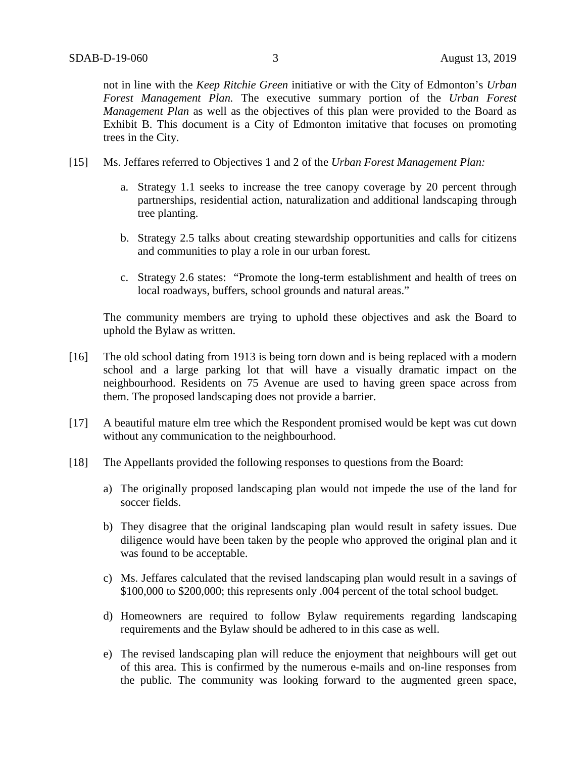not in line with the *Keep Ritchie Green* initiative or with the City of Edmonton's *Urban Forest Management Plan.* The executive summary portion of the *Urban Forest Management Plan* as well as the objectives of this plan were provided to the Board as Exhibit B. This document is a City of Edmonton imitative that focuses on promoting trees in the City.

- [15] Ms. Jeffares referred to Objectives 1 and 2 of the *Urban Forest Management Plan:*
	- a. Strategy 1.1 seeks to increase the tree canopy coverage by 20 percent through partnerships, residential action, naturalization and additional landscaping through tree planting.
	- b. Strategy 2.5 talks about creating stewardship opportunities and calls for citizens and communities to play a role in our urban forest.
	- c. Strategy 2.6 states: "Promote the long-term establishment and health of trees on local roadways, buffers, school grounds and natural areas."

The community members are trying to uphold these objectives and ask the Board to uphold the Bylaw as written.

- [16] The old school dating from 1913 is being torn down and is being replaced with a modern school and a large parking lot that will have a visually dramatic impact on the neighbourhood. Residents on 75 Avenue are used to having green space across from them. The proposed landscaping does not provide a barrier.
- [17] A beautiful mature elm tree which the Respondent promised would be kept was cut down without any communication to the neighbourhood.
- [18] The Appellants provided the following responses to questions from the Board:
	- a) The originally proposed landscaping plan would not impede the use of the land for soccer fields.
	- b) They disagree that the original landscaping plan would result in safety issues. Due diligence would have been taken by the people who approved the original plan and it was found to be acceptable.
	- c) Ms. Jeffares calculated that the revised landscaping plan would result in a savings of \$100,000 to \$200,000; this represents only .004 percent of the total school budget.
	- d) Homeowners are required to follow Bylaw requirements regarding landscaping requirements and the Bylaw should be adhered to in this case as well.
	- e) The revised landscaping plan will reduce the enjoyment that neighbours will get out of this area. This is confirmed by the numerous e-mails and on-line responses from the public. The community was looking forward to the augmented green space,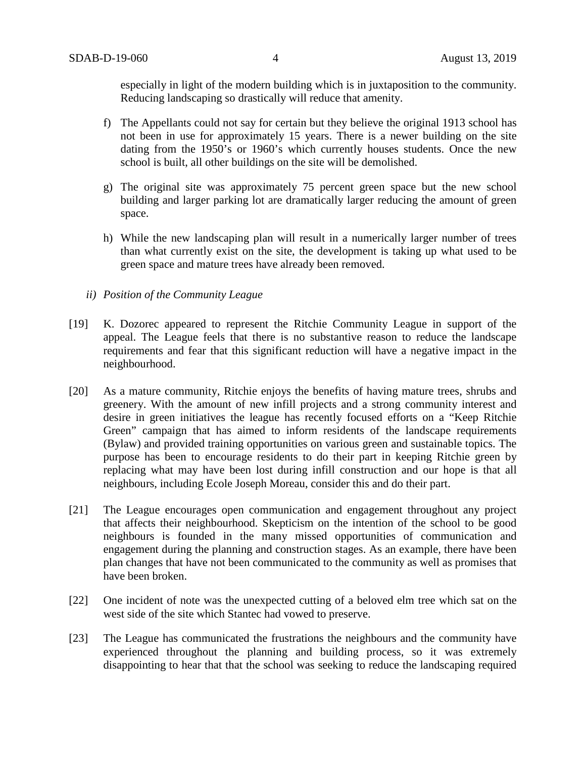especially in light of the modern building which is in juxtaposition to the community. Reducing landscaping so drastically will reduce that amenity.

- f) The Appellants could not say for certain but they believe the original 1913 school has not been in use for approximately 15 years. There is a newer building on the site dating from the 1950's or 1960's which currently houses students. Once the new school is built, all other buildings on the site will be demolished.
- g) The original site was approximately 75 percent green space but the new school building and larger parking lot are dramatically larger reducing the amount of green space.
- h) While the new landscaping plan will result in a numerically larger number of trees than what currently exist on the site, the development is taking up what used to be green space and mature trees have already been removed.
- *ii) Position of the Community League*
- [19] K. Dozorec appeared to represent the Ritchie Community League in support of the appeal. The League feels that there is no substantive reason to reduce the landscape requirements and fear that this significant reduction will have a negative impact in the neighbourhood.
- [20] As a mature community, Ritchie enjoys the benefits of having mature trees, shrubs and greenery. With the amount of new infill projects and a strong community interest and desire in green initiatives the league has recently focused efforts on a "Keep Ritchie Green" campaign that has aimed to inform residents of the landscape requirements (Bylaw) and provided training opportunities on various green and sustainable topics. The purpose has been to encourage residents to do their part in keeping Ritchie green by replacing what may have been lost during infill construction and our hope is that all neighbours, including Ecole Joseph Moreau, consider this and do their part.
- [21] The League encourages open communication and engagement throughout any project that affects their neighbourhood. Skepticism on the intention of the school to be good neighbours is founded in the many missed opportunities of communication and engagement during the planning and construction stages. As an example, there have been plan changes that have not been communicated to the community as well as promises that have been broken.
- [22] One incident of note was the unexpected cutting of a beloved elm tree which sat on the west side of the site which Stantec had vowed to preserve.
- [23] The League has communicated the frustrations the neighbours and the community have experienced throughout the planning and building process, so it was extremely disappointing to hear that that the school was seeking to reduce the landscaping required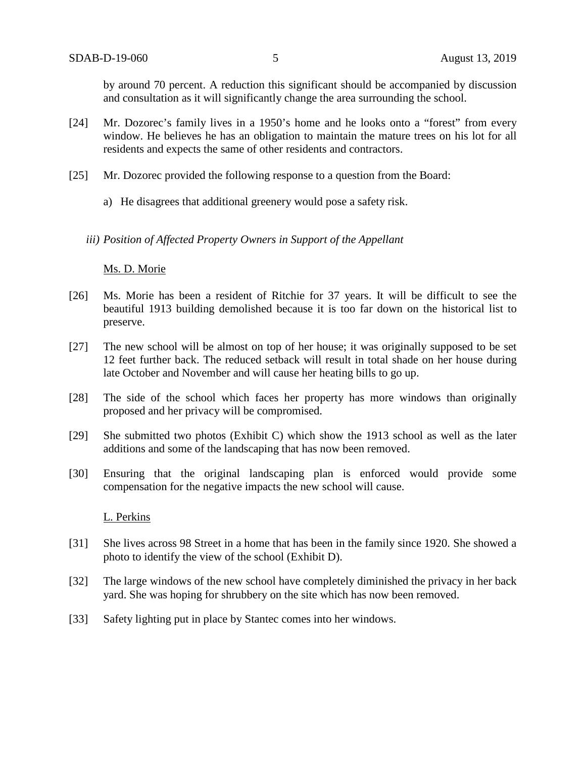by around 70 percent. A reduction this significant should be accompanied by discussion and consultation as it will significantly change the area surrounding the school.

- [24] Mr. Dozorec's family lives in a 1950's home and he looks onto a "forest" from every window. He believes he has an obligation to maintain the mature trees on his lot for all residents and expects the same of other residents and contractors.
- [25] Mr. Dozorec provided the following response to a question from the Board:
	- a) He disagrees that additional greenery would pose a safety risk.
	- *iii) Position of Affected Property Owners in Support of the Appellant*

## Ms. D. Morie

- [26] Ms. Morie has been a resident of Ritchie for 37 years. It will be difficult to see the beautiful 1913 building demolished because it is too far down on the historical list to preserve.
- [27] The new school will be almost on top of her house; it was originally supposed to be set 12 feet further back. The reduced setback will result in total shade on her house during late October and November and will cause her heating bills to go up.
- [28] The side of the school which faces her property has more windows than originally proposed and her privacy will be compromised.
- [29] She submitted two photos (Exhibit C) which show the 1913 school as well as the later additions and some of the landscaping that has now been removed.
- [30] Ensuring that the original landscaping plan is enforced would provide some compensation for the negative impacts the new school will cause.

## L. Perkins

- [31] She lives across 98 Street in a home that has been in the family since 1920. She showed a photo to identify the view of the school (Exhibit D).
- [32] The large windows of the new school have completely diminished the privacy in her back yard. She was hoping for shrubbery on the site which has now been removed.
- [33] Safety lighting put in place by Stantec comes into her windows.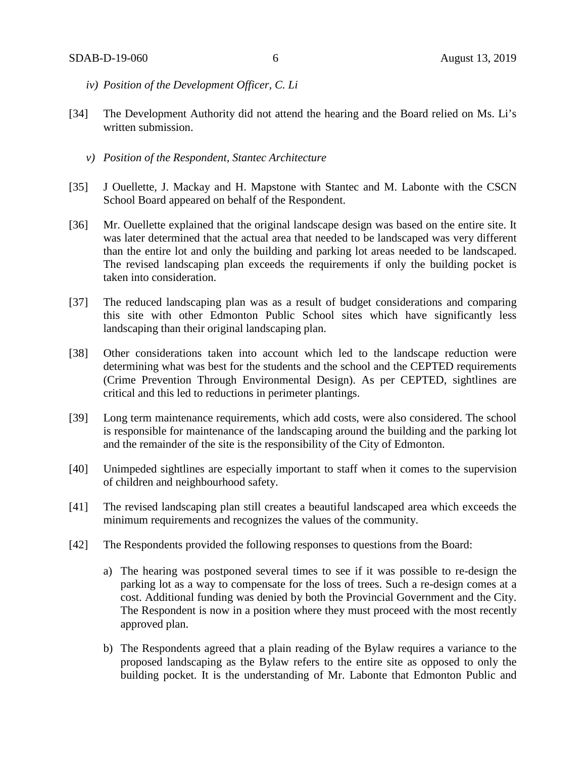- *iv) Position of the Development Officer, C. Li*
- [34] The Development Authority did not attend the hearing and the Board relied on Ms. Li's written submission.
	- *v) Position of the Respondent, Stantec Architecture*
- [35] J Ouellette, J. Mackay and H. Mapstone with Stantec and M. Labonte with the CSCN School Board appeared on behalf of the Respondent.
- [36] Mr. Ouellette explained that the original landscape design was based on the entire site. It was later determined that the actual area that needed to be landscaped was very different than the entire lot and only the building and parking lot areas needed to be landscaped. The revised landscaping plan exceeds the requirements if only the building pocket is taken into consideration.
- [37] The reduced landscaping plan was as a result of budget considerations and comparing this site with other Edmonton Public School sites which have significantly less landscaping than their original landscaping plan.
- [38] Other considerations taken into account which led to the landscape reduction were determining what was best for the students and the school and the CEPTED requirements (Crime Prevention Through Environmental Design). As per CEPTED, sightlines are critical and this led to reductions in perimeter plantings.
- [39] Long term maintenance requirements, which add costs, were also considered. The school is responsible for maintenance of the landscaping around the building and the parking lot and the remainder of the site is the responsibility of the City of Edmonton.
- [40] Unimpeded sightlines are especially important to staff when it comes to the supervision of children and neighbourhood safety.
- [41] The revised landscaping plan still creates a beautiful landscaped area which exceeds the minimum requirements and recognizes the values of the community.
- [42] The Respondents provided the following responses to questions from the Board:
	- a) The hearing was postponed several times to see if it was possible to re-design the parking lot as a way to compensate for the loss of trees. Such a re-design comes at a cost. Additional funding was denied by both the Provincial Government and the City. The Respondent is now in a position where they must proceed with the most recently approved plan.
	- b) The Respondents agreed that a plain reading of the Bylaw requires a variance to the proposed landscaping as the Bylaw refers to the entire site as opposed to only the building pocket. It is the understanding of Mr. Labonte that Edmonton Public and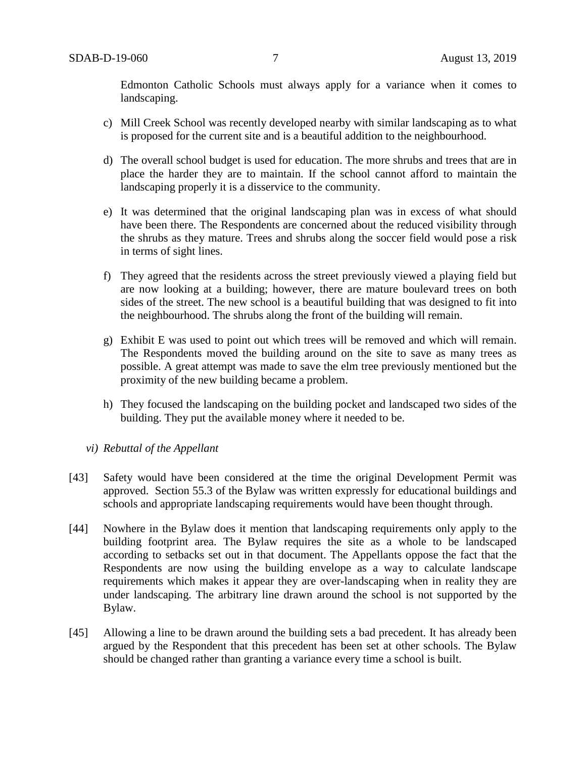Edmonton Catholic Schools must always apply for a variance when it comes to landscaping.

- c) Mill Creek School was recently developed nearby with similar landscaping as to what is proposed for the current site and is a beautiful addition to the neighbourhood.
- d) The overall school budget is used for education. The more shrubs and trees that are in place the harder they are to maintain. If the school cannot afford to maintain the landscaping properly it is a disservice to the community.
- e) It was determined that the original landscaping plan was in excess of what should have been there. The Respondents are concerned about the reduced visibility through the shrubs as they mature. Trees and shrubs along the soccer field would pose a risk in terms of sight lines.
- f) They agreed that the residents across the street previously viewed a playing field but are now looking at a building; however, there are mature boulevard trees on both sides of the street. The new school is a beautiful building that was designed to fit into the neighbourhood. The shrubs along the front of the building will remain.
- g) Exhibit E was used to point out which trees will be removed and which will remain. The Respondents moved the building around on the site to save as many trees as possible. A great attempt was made to save the elm tree previously mentioned but the proximity of the new building became a problem.
- h) They focused the landscaping on the building pocket and landscaped two sides of the building. They put the available money where it needed to be.
- *vi) Rebuttal of the Appellant*
- [43] Safety would have been considered at the time the original Development Permit was approved. Section 55.3 of the Bylaw was written expressly for educational buildings and schools and appropriate landscaping requirements would have been thought through.
- [44] Nowhere in the Bylaw does it mention that landscaping requirements only apply to the building footprint area. The Bylaw requires the site as a whole to be landscaped according to setbacks set out in that document. The Appellants oppose the fact that the Respondents are now using the building envelope as a way to calculate landscape requirements which makes it appear they are over-landscaping when in reality they are under landscaping. The arbitrary line drawn around the school is not supported by the Bylaw.
- [45] Allowing a line to be drawn around the building sets a bad precedent. It has already been argued by the Respondent that this precedent has been set at other schools. The Bylaw should be changed rather than granting a variance every time a school is built.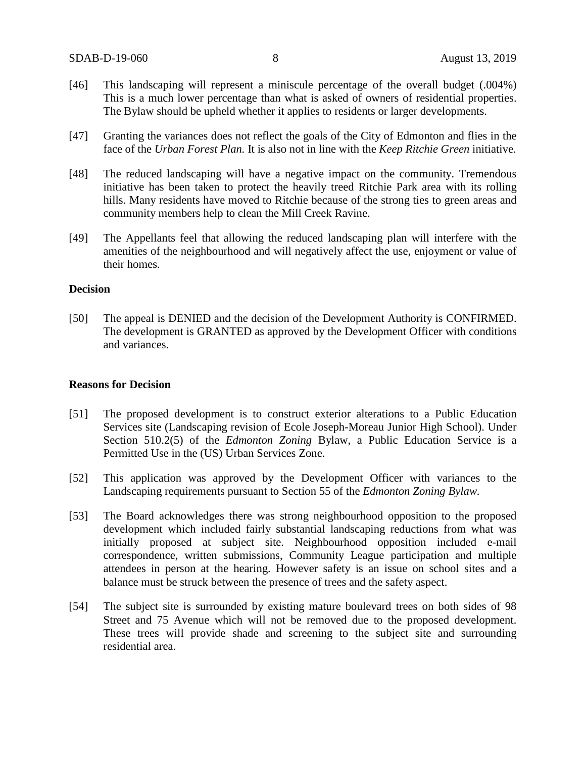- [46] This landscaping will represent a miniscule percentage of the overall budget (.004%) This is a much lower percentage than what is asked of owners of residential properties. The Bylaw should be upheld whether it applies to residents or larger developments.
- [47] Granting the variances does not reflect the goals of the City of Edmonton and flies in the face of the *Urban Forest Plan.* It is also not in line with the *Keep Ritchie Green* initiative.
- [48] The reduced landscaping will have a negative impact on the community. Tremendous initiative has been taken to protect the heavily treed Ritchie Park area with its rolling hills. Many residents have moved to Ritchie because of the strong ties to green areas and community members help to clean the Mill Creek Ravine.
- [49] The Appellants feel that allowing the reduced landscaping plan will interfere with the amenities of the neighbourhood and will negatively affect the use, enjoyment or value of their homes.

### **Decision**

[50] The appeal is DENIED and the decision of the Development Authority is CONFIRMED. The development is GRANTED as approved by the Development Officer with conditions and variances.

#### **Reasons for Decision**

- [51] The proposed development is to construct exterior alterations to a Public Education Services site (Landscaping revision of Ecole Joseph-Moreau Junior High School). Under Section 510.2(5) of the *Edmonton Zoning* Bylaw, a Public Education Service is a Permitted Use in the (US) Urban Services Zone.
- [52] This application was approved by the Development Officer with variances to the Landscaping requirements pursuant to Section 55 of the *Edmonton Zoning Bylaw.*
- [53] The Board acknowledges there was strong neighbourhood opposition to the proposed development which included fairly substantial landscaping reductions from what was initially proposed at subject site. Neighbourhood opposition included e-mail correspondence, written submissions, Community League participation and multiple attendees in person at the hearing. However safety is an issue on school sites and a balance must be struck between the presence of trees and the safety aspect.
- [54] The subject site is surrounded by existing mature boulevard trees on both sides of 98 Street and 75 Avenue which will not be removed due to the proposed development. These trees will provide shade and screening to the subject site and surrounding residential area.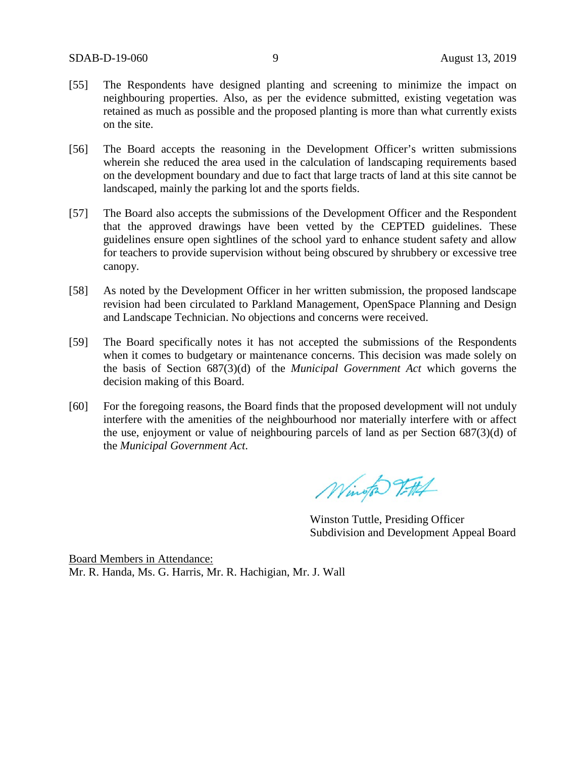- [55] The Respondents have designed planting and screening to minimize the impact on neighbouring properties. Also, as per the evidence submitted, existing vegetation was retained as much as possible and the proposed planting is more than what currently exists on the site.
- [56] The Board accepts the reasoning in the Development Officer's written submissions wherein she reduced the area used in the calculation of landscaping requirements based on the development boundary and due to fact that large tracts of land at this site cannot be landscaped, mainly the parking lot and the sports fields.
- [57] The Board also accepts the submissions of the Development Officer and the Respondent that the approved drawings have been vetted by the CEPTED guidelines. These guidelines ensure open sightlines of the school yard to enhance student safety and allow for teachers to provide supervision without being obscured by shrubbery or excessive tree canopy.
- [58] As noted by the Development Officer in her written submission, the proposed landscape revision had been circulated to Parkland Management, OpenSpace Planning and Design and Landscape Technician. No objections and concerns were received.
- [59] The Board specifically notes it has not accepted the submissions of the Respondents when it comes to budgetary or maintenance concerns. This decision was made solely on the basis of Section 687(3)(d) of the *Municipal Government Act* which governs the decision making of this Board.
- [60] For the foregoing reasons, the Board finds that the proposed development will not unduly interfere with the amenities of the neighbourhood nor materially interfere with or affect the use, enjoyment or value of neighbouring parcels of land as per Section 687(3)(d) of the *Municipal Government Act*.

Wington Titth

Winston Tuttle, Presiding Officer Subdivision and Development Appeal Board

Board Members in Attendance: Mr. R. Handa, Ms. G. Harris, Mr. R. Hachigian, Mr. J. Wall